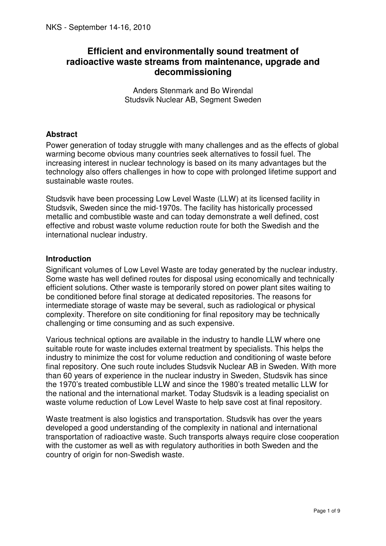# **Efficient and environmentally sound treatment of radioactive waste streams from maintenance, upgrade and decommissioning**

Anders Stenmark and Bo Wirendal Studsvik Nuclear AB, Segment Sweden

## **Abstract**

Power generation of today struggle with many challenges and as the effects of global warming become obvious many countries seek alternatives to fossil fuel. The increasing interest in nuclear technology is based on its many advantages but the technology also offers challenges in how to cope with prolonged lifetime support and sustainable waste routes.

Studsvik have been processing Low Level Waste (LLW) at its licensed facility in Studsvik, Sweden since the mid-1970s. The facility has historically processed metallic and combustible waste and can today demonstrate a well defined, cost effective and robust waste volume reduction route for both the Swedish and the international nuclear industry.

## **Introduction**

Significant volumes of Low Level Waste are today generated by the nuclear industry. Some waste has well defined routes for disposal using economically and technically efficient solutions. Other waste is temporarily stored on power plant sites waiting to be conditioned before final storage at dedicated repositories. The reasons for intermediate storage of waste may be several, such as radiological or physical complexity. Therefore on site conditioning for final repository may be technically challenging or time consuming and as such expensive.

Various technical options are available in the industry to handle LLW where one suitable route for waste includes external treatment by specialists. This helps the industry to minimize the cost for volume reduction and conditioning of waste before final repository. One such route includes Studsvik Nuclear AB in Sweden. With more than 60 years of experience in the nuclear industry in Sweden, Studsvik has since the 1970's treated combustible LLW and since the 1980's treated metallic LLW for the national and the international market. Today Studsvik is a leading specialist on waste volume reduction of Low Level Waste to help save cost at final repository.

Waste treatment is also logistics and transportation. Studsvik has over the years developed a good understanding of the complexity in national and international transportation of radioactive waste. Such transports always require close cooperation with the customer as well as with regulatory authorities in both Sweden and the country of origin for non-Swedish waste.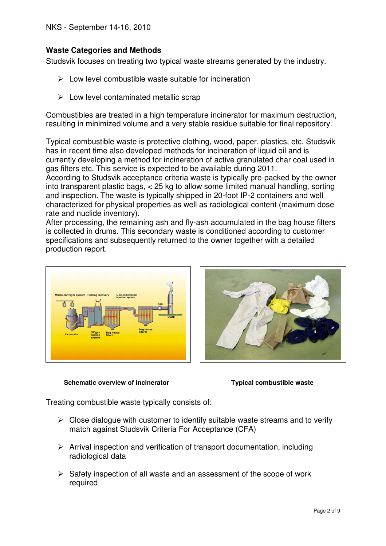# **Waste Categories and Methods**

Studsvik focuses on treating two typical waste streams generated by the industry.

- $\triangleright$  Low level combustible waste suitable for incineration
- $\triangleright$  Low level contaminated metallic scrap

Combustibles are treated in a high temperature incinerator for maximum destruction, resulting in minimized volume and a very stable residue suitable for final repository.

Typical combustible waste is protective clothing, wood, paper, plastics, etc. Studsvik has in recent time also developed methods for incineration of liquid oil and is currently developing a method for incineration of active granulated char coal used in gas filters etc. This service is expected to be available during 2011.

According to Studsvik acceptance criteria waste is typically pre-packed by the owner into transparent plastic bags, < 25 kg to allow some limited manual handling, sorting and inspection. The waste is typically shipped in 20-foot IP-2 containers and well characterized for physical properties as well as radiological content (maximum dose rate and nuclide inventory).

After processing, the remaining ash and fly-ash accumulated in the bag house filters is collected in drums. This secondary waste is conditioned according to customer specifications and subsequently returned to the owner together with a detailed production report.





 **Schematic overview of incinerator Typical combustible waste** 

Treating combustible waste typically consists of:

- $\triangleright$  Close dialogue with customer to identify suitable waste streams and to verify match against Studsvik Criteria For Acceptance (CFA)
- $\triangleright$  Arrival inspection and verification of transport documentation, including radiological data
- $\triangleright$  Safety inspection of all waste and an assessment of the scope of work required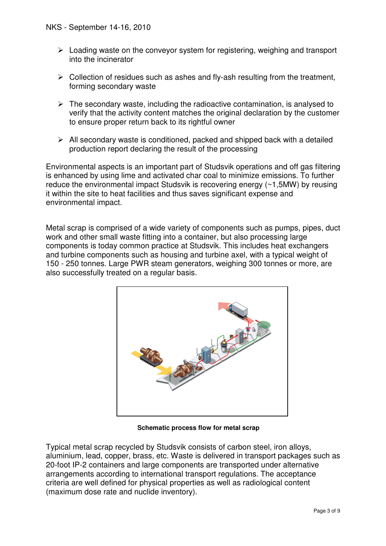- $\triangleright$  Loading waste on the conveyor system for registering, weighing and transport into the incinerator
- $\triangleright$  Collection of residues such as ashes and fly-ash resulting from the treatment, forming secondary waste
- $\triangleright$  The secondary waste, including the radioactive contamination, is analysed to verify that the activity content matches the original declaration by the customer to ensure proper return back to its rightful owner
- $\triangleright$  All secondary waste is conditioned, packed and shipped back with a detailed production report declaring the result of the processing

Environmental aspects is an important part of Studsvik operations and off gas filtering is enhanced by using lime and activated char coal to minimize emissions. To further reduce the environmental impact Studsvik is recovering energy (~1,5MW) by reusing it within the site to heat facilities and thus saves significant expense and environmental impact.

Metal scrap is comprised of a wide variety of components such as pumps, pipes, duct work and other small waste fitting into a container, but also processing large components is today common practice at Studsvik. This includes heat exchangers and turbine components such as housing and turbine axel, with a typical weight of 150 - 250 tonnes. Large PWR steam generators, weighing 300 tonnes or more, are also successfully treated on a regular basis.



 **Schematic process flow for metal scrap** 

Typical metal scrap recycled by Studsvik consists of carbon steel, iron alloys, aluminium, lead, copper, brass, etc. Waste is delivered in transport packages such as 20-foot IP-2 containers and large components are transported under alternative arrangements according to international transport regulations. The acceptance criteria are well defined for physical properties as well as radiological content (maximum dose rate and nuclide inventory).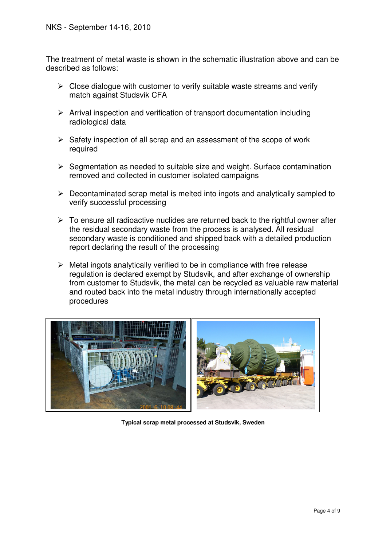The treatment of metal waste is shown in the schematic illustration above and can be described as follows:

- $\triangleright$  Close dialogue with customer to verify suitable waste streams and verify match against Studsvik CFA
- $\triangleright$  Arrival inspection and verification of transport documentation including radiological data
- $\triangleright$  Safety inspection of all scrap and an assessment of the scope of work required
- $\triangleright$  Segmentation as needed to suitable size and weight. Surface contamination removed and collected in customer isolated campaigns
- $\triangleright$  Decontaminated scrap metal is melted into ingots and analytically sampled to verify successful processing
- $\triangleright$  To ensure all radioactive nuclides are returned back to the rightful owner after the residual secondary waste from the process is analysed. All residual secondary waste is conditioned and shipped back with a detailed production report declaring the result of the processing
- $\triangleright$  Metal ingots analytically verified to be in compliance with free release regulation is declared exempt by Studsvik, and after exchange of ownership from customer to Studsvik, the metal can be recycled as valuable raw material and routed back into the metal industry through internationally accepted procedures



**Typical scrap metal processed at Studsvik, Sweden**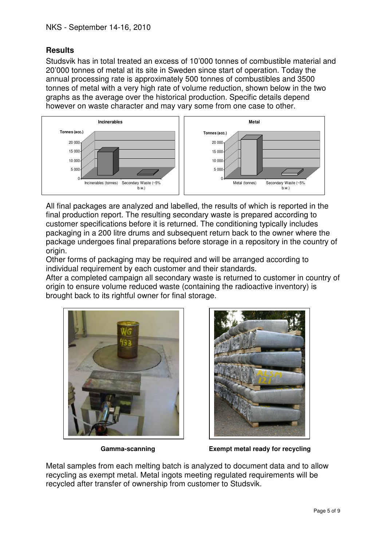# **Results**

Studsvik has in total treated an excess of 10'000 tonnes of combustible material and 20'000 tonnes of metal at its site in Sweden since start of operation. Today the annual processing rate is approximately 500 tonnes of combustibles and 3500 tonnes of metal with a very high rate of volume reduction, shown below in the two graphs as the average over the historical production. Specific details depend however on waste character and may vary some from one case to other.



All final packages are analyzed and labelled, the results of which is reported in the final production report. The resulting secondary waste is prepared according to customer specifications before it is returned. The conditioning typically includes packaging in a 200 litre drums and subsequent return back to the owner where the package undergoes final preparations before storage in a repository in the country of origin.

Other forms of packaging may be required and will be arranged according to individual requirement by each customer and their standards.

After a completed campaign all secondary waste is returned to customer in country of origin to ensure volume reduced waste (containing the radioactive inventory) is brought back to its rightful owner for final storage.





 **Gamma-scanning Exempt metal ready for recycling** 

Metal samples from each melting batch is analyzed to document data and to allow recycling as exempt metal. Metal ingots meeting regulated requirements will be recycled after transfer of ownership from customer to Studsvik.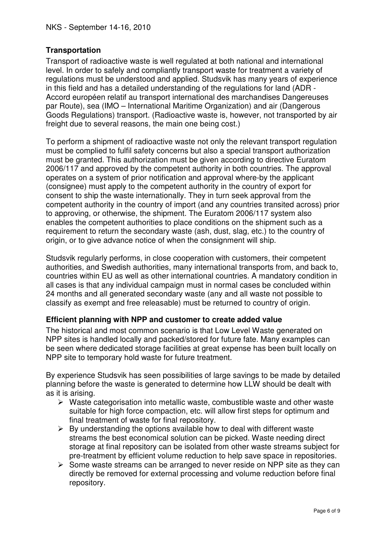# **Transportation**

Transport of radioactive waste is well regulated at both national and international level. In order to safely and compliantly transport waste for treatment a variety of regulations must be understood and applied. Studsvik has many years of experience in this field and has a detailed understanding of the regulations for land (ADR - Accord européen relatif au transport international des marchandises Dangereuses par Route), sea (IMO – International Maritime Organization) and air (Dangerous Goods Regulations) transport. (Radioactive waste is, however, not transported by air freight due to several reasons, the main one being cost.)

To perform a shipment of radioactive waste not only the relevant transport regulation must be complied to fulfil safety concerns but also a special transport authorization must be granted. This authorization must be given according to directive Euratom 2006/117 and approved by the competent authority in both countries. The approval operates on a system of prior notification and approval where-by the applicant (consignee) must apply to the competent authority in the country of export for consent to ship the waste internationally. They in turn seek approval from the competent authority in the country of import (and any countries transited across) prior to approving, or otherwise, the shipment. The Euratom 2006/117 system also enables the competent authorities to place conditions on the shipment such as a requirement to return the secondary waste (ash, dust, slag, etc.) to the country of origin, or to give advance notice of when the consignment will ship.

Studsvik regularly performs, in close cooperation with customers, their competent authorities, and Swedish authorities, many international transports from, and back to, countries within EU as well as other international countries. A mandatory condition in all cases is that any individual campaign must in normal cases be concluded within 24 months and all generated secondary waste (any and all waste not possible to classify as exempt and free releasable) must be returned to country of origin.

#### **Efficient planning with NPP and customer to create added value**

The historical and most common scenario is that Low Level Waste generated on NPP sites is handled locally and packed/stored for future fate. Many examples can be seen where dedicated storage facilities at great expense has been built locally on NPP site to temporary hold waste for future treatment.

By experience Studsvik has seen possibilities of large savings to be made by detailed planning before the waste is generated to determine how LLW should be dealt with as it is arising.

- $\triangleright$  Waste categorisation into metallic waste, combustible waste and other waste suitable for high force compaction, etc. will allow first steps for optimum and final treatment of waste for final repository.
- $\triangleright$  By understanding the options available how to deal with different waste streams the best economical solution can be picked. Waste needing direct storage at final repository can be isolated from other waste streams subject for pre-treatment by efficient volume reduction to help save space in repositories.
- $\triangleright$  Some waste streams can be arranged to never reside on NPP site as they can directly be removed for external processing and volume reduction before final repository.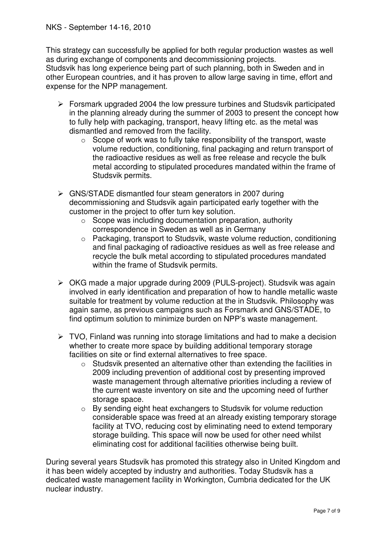This strategy can successfully be applied for both regular production wastes as well as during exchange of components and decommissioning projects.

Studsvik has long experience being part of such planning, both in Sweden and in other European countries, and it has proven to allow large saving in time, effort and expense for the NPP management.

- $\triangleright$  Forsmark upgraded 2004 the low pressure turbines and Studsvik participated in the planning already during the summer of 2003 to present the concept how to fully help with packaging, transport, heavy lifting etc. as the metal was dismantled and removed from the facility.
	- $\circ$  Scope of work was to fully take responsibility of the transport, waste volume reduction, conditioning, final packaging and return transport of the radioactive residues as well as free release and recycle the bulk metal according to stipulated procedures mandated within the frame of Studsvik permits.
- GNS/STADE dismantled four steam generators in 2007 during decommissioning and Studsvik again participated early together with the customer in the project to offer turn key solution.
	- $\circ$  Scope was including documentation preparation, authority correspondence in Sweden as well as in Germany
	- o Packaging, transport to Studsvik, waste volume reduction, conditioning and final packaging of radioactive residues as well as free release and recycle the bulk metal according to stipulated procedures mandated within the frame of Studsvik permits.
- OKG made a major upgrade during 2009 (PULS-project). Studsvik was again involved in early identification and preparation of how to handle metallic waste suitable for treatment by volume reduction at the in Studsvik. Philosophy was again same, as previous campaigns such as Forsmark and GNS/STADE, to find optimum solution to minimize burden on NPP's waste management.
- $\triangleright$  TVO, Finland was running into storage limitations and had to make a decision whether to create more space by building additional temporary storage facilities on site or find external alternatives to free space.
	- o Studsvik presented an alternative other than extending the facilities in 2009 including prevention of additional cost by presenting improved waste management through alternative priorities including a review of the current waste inventory on site and the upcoming need of further storage space.
	- o By sending eight heat exchangers to Studsvik for volume reduction considerable space was freed at an already existing temporary storage facility at TVO, reducing cost by eliminating need to extend temporary storage building. This space will now be used for other need whilst eliminating cost for additional facilities otherwise being built.

During several years Studsvik has promoted this strategy also in United Kingdom and it has been widely accepted by industry and authorities. Today Studsvik has a dedicated waste management facility in Workington, Cumbria dedicated for the UK nuclear industry.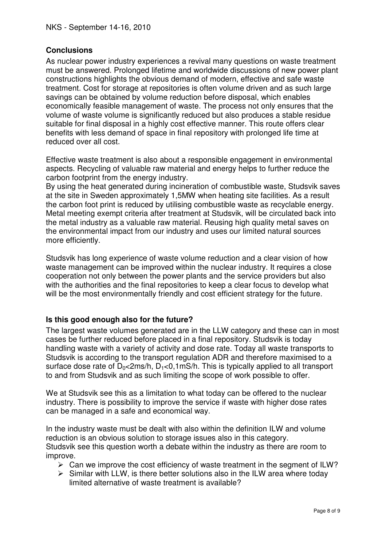# **Conclusions**

As nuclear power industry experiences a revival many questions on waste treatment must be answered. Prolonged lifetime and worldwide discussions of new power plant constructions highlights the obvious demand of modern, effective and safe waste treatment. Cost for storage at repositories is often volume driven and as such large savings can be obtained by volume reduction before disposal, which enables economically feasible management of waste. The process not only ensures that the volume of waste volume is significantly reduced but also produces a stable residue suitable for final disposal in a highly cost effective manner. This route offers clear benefits with less demand of space in final repository with prolonged life time at reduced over all cost.

Effective waste treatment is also about a responsible engagement in environmental aspects. Recycling of valuable raw material and energy helps to further reduce the carbon footprint from the energy industry.

By using the heat generated during incineration of combustible waste, Studsvik saves at the site in Sweden approximately 1,5MW when heating site facilities. As a result the carbon foot print is reduced by utilising combustible waste as recyclable energy. Metal meeting exempt criteria after treatment at Studsvik, will be circulated back into the metal industry as a valuable raw material. Reusing high quality metal saves on the environmental impact from our industry and uses our limited natural sources more efficiently.

Studsvik has long experience of waste volume reduction and a clear vision of how waste management can be improved within the nuclear industry. It requires a close cooperation not only between the power plants and the service providers but also with the authorities and the final repositories to keep a clear focus to develop what will be the most environmentally friendly and cost efficient strategy for the future.

# **Is this good enough also for the future?**

The largest waste volumes generated are in the LLW category and these can in most cases be further reduced before placed in a final repository. Studsvik is today handling waste with a variety of activity and dose rate. Today all waste transports to Studsvik is according to the transport regulation ADR and therefore maximised to a surface dose rate of  $D_0 \lt 2ms/h$ ,  $D_1 \lt 0.1 \text{mS/h}$ . This is typically applied to all transport to and from Studsvik and as such limiting the scope of work possible to offer.

We at Studsvik see this as a limitation to what today can be offered to the nuclear industry. There is possibility to improve the service if waste with higher dose rates can be managed in a safe and economical way.

In the industry waste must be dealt with also within the definition ILW and volume reduction is an obvious solution to storage issues also in this category. Studsvik see this question worth a debate within the industry as there are room to improve.

- $\triangleright$  Can we improve the cost efficiency of waste treatment in the segment of ILW?
- $\triangleright$  Similar with LLW, is there better solutions also in the ILW area where today limited alternative of waste treatment is available?